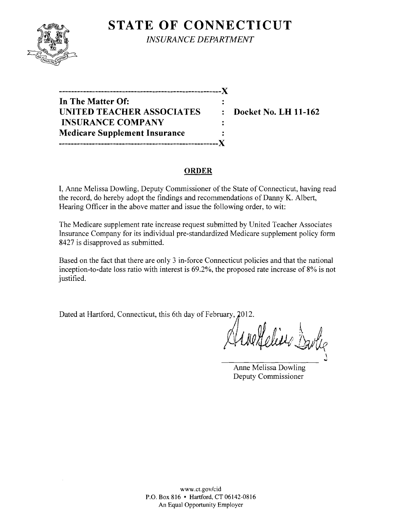

**STATE OF CONNECTICUT** *INSURANCE DEPARTMENT* 

**------------------------------------------------------**)( **In The Matter Of: UNITED TEACHER ASSOCIATES : Docket No. LH 11-162 INSURANCE COMPANY Medicare Supplement Insurance -----------------------------------------------------)(** 

#### **ORDER**

 $\ddot{\cdot}$  $\mathbf{r}$ 

I, Anne Melissa Dowling, Deputy Commissioner of the State of Connecticut, having read the record, do hereby adopt the findings and recommendations of Danny K. Albert, Hearing Officer in the above matter and issue the following order, to wit:

The Medicare supplement rate increase request submitted by United Teacher Associates Insurance Company for its individual pre-standardized Medicare supplement policy form 8427 is disapproved as submitted.

Based on the fact that there are only 3 in-force Connecticut policies and that the national inception-to-date loss ratio with interest is 69.2%, the proposed rate increase of 8% is not justified.

Dated at Hartford, Connecticut, this 6th day of February, 2012.

 $\sqrt{4}$  nalfalises & . l. 11, Juerfeline Bartie ""

Anne Melissa Dowling Deputy Commissioner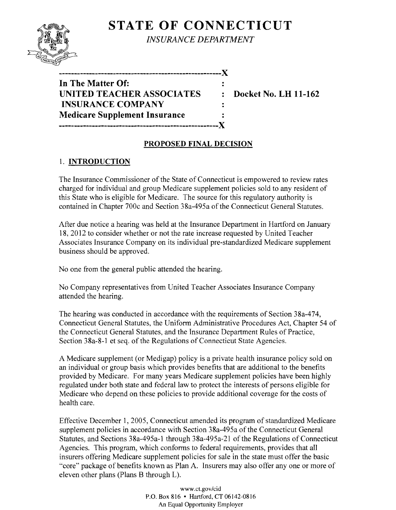# **STATE OF CONNECTICUT**



*INSURANCE DEPARTMENT* 

| In The Matter Of:                    |                |
|--------------------------------------|----------------|
| <b>UNITED TEACHER ASSOCIATES</b>     | $\ddot{\cdot}$ |
| <b>INSURANCE COMPANY</b>             |                |
| <b>Medicare Supplement Insurance</b> |                |
| --*-------------------------         | $-X$           |

**------------------------------------------------------)(** 

**UDE Docket No. LH 11-162** 

## **PROPOSED FINAL DECISION**

## 1. **INTRODUCTION**

The Insurance Commissioner of the State of Connecticut is empowered to review rates charged for individual and group Medicare supplement policies sold to any resident of this State who is eligible for Medicare. The source for this regulatory authority is contained in Chapter 700c and Section 38a-495a of the Connecticut General Statutes.

After due notice a hearing was held at the Insurance Department in Hartford on January 18,2012 to consider whether or not the rate increase requested by United Teacher Associates Insurance Company on its individual pre-standardized Medicare supplement business should be approved.

No one from the general public attended the hearing.

No Company representatives from United Teacher Associates Insurance Company attended the hearing.

The hearing was conducted in accordance with the requirements of Section 38a-474, Connecticut General Statutes, the Uniform Administrative Procedures Act, Chapter 54 of the Connecticut General Statutes, and the Insurance Department Rules of Practice, Section 38a-8-l et seq. of the Regulations of Connecticut State Agencies.

A Medicare supplement (or Medigap) policy is a private health insurance policy sold on an individual or group basis which provides benefits that are additional to the benefits provided by Medicare. For many years Medicare supplement policies have been highly regulated under both state and federal law to protect the interests of persons eligible for Medicare who depend on these policies to provide additional coverage for the costs of health care.

Effective December 1,2005, Connecticut amended its program of standardized Medicare supplement policies in accordance with Section 38a-495a of the Connecticut General Statutes, and Sections 38a-495a-l through 38a-495a-21 of the Regulations of Connecticut Agencies. This program, which conforms to federal requirements, provides that all insurers offering Medicare supplement policies for sale in the state must offer the basic "core" package of benefits known as Plan A. Insurers may also offer anyone or more of eleven other plans (Plans B through L).

> www.ct.goY/cid P.O. Box 816 • Hartford, CT 06142-0816 An Equal Opportunity Employer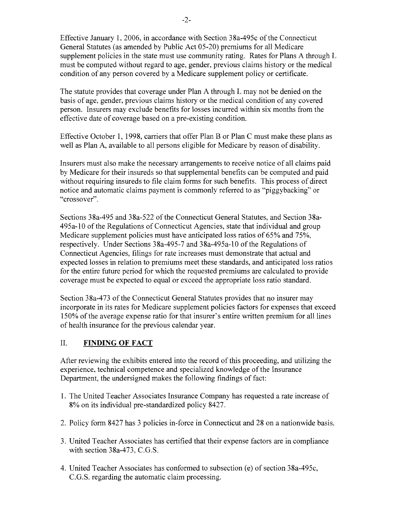Effective January 1,2006, in accordance with Section 38a-495c of the Connecticut General Statutes (as amended by Public Act 05-20) premiums for all Medicare supplement policies in the state must use community rating. Rates for Plans A through L must be computed without regard to age, gender, previous claims history or the medical condition of any person covered by a Medicare supplement policy or certificate.

The statute provides that coverage under Plan A through L may not be denied on the basis of age, gender, previous claims history or the medical condition of any covered person. Insurers may exclude benefits for losses incurred within six months from the effective date of coverage based on a pre-existing condition.

Effective October 1, 1998, carriers that offer Plan B or Plan C must make these plans as well as Plan A, available to all persons eligible for Medicare by reason of disability.

Insurers must also make the necessary arrangements to receive notice of all claims paid by Medicare for their insureds so that supplemental benefits can be computed and paid without requiring insureds to file claim forms for such benefits. This process of direct notice and automatic claims payment is commonly referred to as "piggybacking" or "crossover".

Sections 38a-495 and 38a-522 of the Connecticut General Statutes, and Section 38a-495a-l0 of the Regulations of Connecticut Agencies, state that individual and group Medicare supplement policies must have anticipated loss ratios of 65% and 75%, respectively. Under Sections 38a-495-7 and 38a-495a-l0 of the Regulations of Connecticut Agencies, filings for rate increases must demonstrate that actual and expected losses in relation to premiums meet these standards, and anticipated loss ratios for the entire future period for which the requested premiums are calculated to provide coverage must be expected to equal or exceed the appropriate loss ratio standard.

Section 38a-473 of the Connecticut General Statutes provides that no insurer may incorporate in its rates for Medicare supplement policies factors for expenses that exceed 150% of the average expense ratio for that insurer's entire written premium for all lines of health insurance for the previous calendar year.

## II. **FINDING OF FACT**

After reviewing the exhibits entered into the record of this proceeding, and utilizing the experience, technical competence and specialized knowledge of the Insurance Department, the undersigned makes the following findings of fact:

- 1. The United Teacher Associates Insurance Company has requested a rate increase of 8% on its individual pre-standardized policy 8427.
- 2. Policy form 8427 has 3 policies in-force in Connecticut and 28 on a nationwide basis.
- 3. United Teacher Associates has certified that their expense factors are in compliance with section 38a-473, C.G.S.
- 4. United Teacher Associates has conformed to subsection (e) of section 38a-495c, CG.S. regarding the automatic claim processing.